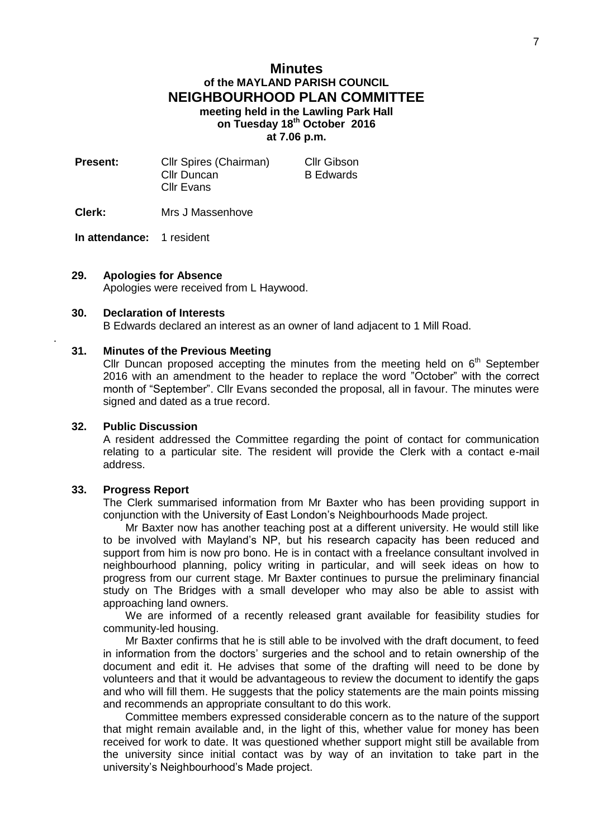# **Minutes of the MAYLAND PARISH COUNCIL NEIGHBOURHOOD PLAN COMMITTEE meeting held in the Lawling Park Hall on Tuesday 18th October 2016 at 7.06 p.m.**

| <b>Present:</b> | <b>CIIr Spires (Chairman)</b> | <b>Cllr Gibson</b> |
|-----------------|-------------------------------|--------------------|
|                 | Cllr Duncan                   | <b>B</b> Edwards   |
|                 | Cllr Evans                    |                    |

**Clerk:** Mrs J Massenhove

# **In attendance:** 1 resident

### **29. Apologies for Absence**

Apologies were received from L Haywood.

## **30. Declaration of Interests**

B Edwards declared an interest as an owner of land adjacent to 1 Mill Road.

### **31. Minutes of the Previous Meeting**

Cllr Duncan proposed accepting the minutes from the meeting held on  $6<sup>th</sup>$  September 2016 with an amendment to the header to replace the word "October" with the correct month of "September". Cllr Evans seconded the proposal, all in favour. The minutes were signed and dated as a true record.

#### **32. Public Discussion**

.

A resident addressed the Committee regarding the point of contact for communication relating to a particular site. The resident will provide the Clerk with a contact e-mail address.

### **33. Progress Report**

The Clerk summarised information from Mr Baxter who has been providing support in conjunction with the University of East London's Neighbourhoods Made project.

Mr Baxter now has another teaching post at a different university. He would still like to be involved with Mayland's NP, but his research capacity has been reduced and support from him is now pro bono. He is in contact with a freelance consultant involved in neighbourhood planning, policy writing in particular, and will seek ideas on how to progress from our current stage. Mr Baxter continues to pursue the preliminary financial study on The Bridges with a small developer who may also be able to assist with approaching land owners.

We are informed of a recently released grant available for feasibility studies for community-led housing.

Mr Baxter confirms that he is still able to be involved with the draft document, to feed in information from the doctors' surgeries and the school and to retain ownership of the document and edit it. He advises that some of the drafting will need to be done by volunteers and that it would be advantageous to review the document to identify the gaps and who will fill them. He suggests that the policy statements are the main points missing and recommends an appropriate consultant to do this work.

Committee members expressed considerable concern as to the nature of the support that might remain available and, in the light of this, whether value for money has been received for work to date. It was questioned whether support might still be available from the university since initial contact was by way of an invitation to take part in the university's Neighbourhood's Made project.